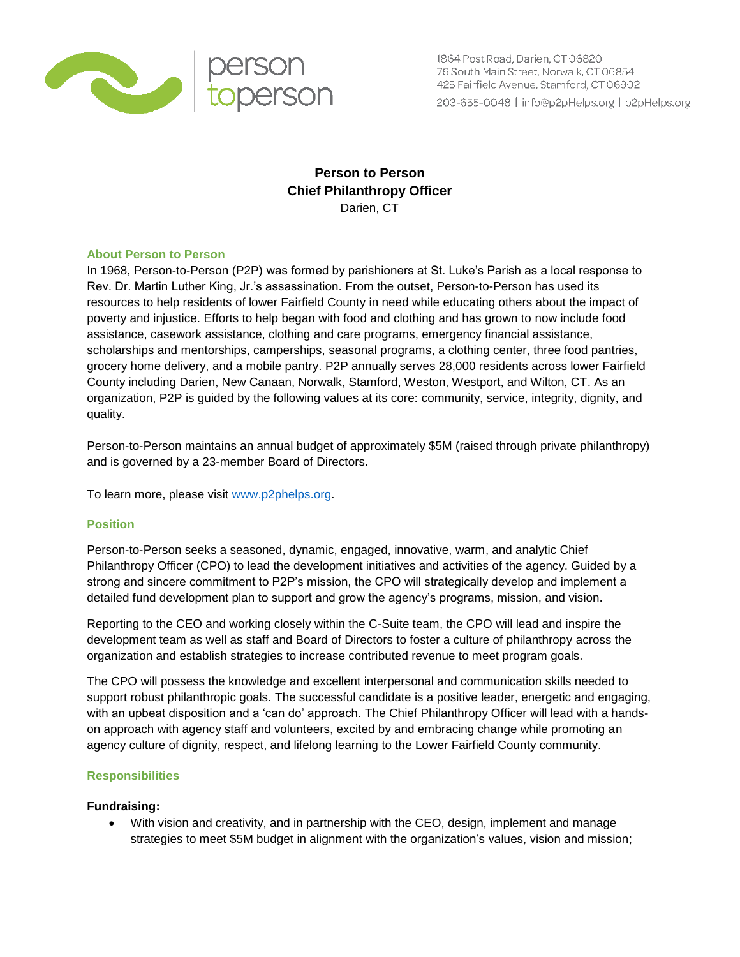

1864 Post Road, Darien, CT 06820 76 South Main Street, Norwalk, CT 06854 425 Fairfield Avenue, Stamford, CT 06902 203-655-0048 | info@p2pHelps.org | p2pHelps.org

# **Person to Person Chief Philanthropy Officer** Darien, CT

### **About Person to Person**

In 1968, Person-to-Person (P2P) was formed by parishioners at St. Luke's Parish as a local response to Rev. Dr. Martin Luther King, Jr.'s assassination. From the outset, Person-to-Person has used its resources to help residents of lower Fairfield County in need while educating others about the impact of poverty and injustice. Efforts to help began with food and clothing and has grown to now include food assistance, casework assistance, clothing and care programs, emergency financial assistance, scholarships and mentorships, camperships, seasonal programs, a clothing center, three food pantries, grocery home delivery, and a mobile pantry. P2P annually serves 28,000 residents across lower Fairfield County including Darien, New Canaan, Norwalk, Stamford, Weston, Westport, and Wilton, CT. As an organization, P2P is guided by the following values at its core: community, service, integrity, dignity, and quality.

Person-to-Person maintains an annual budget of approximately \$5M (raised through private philanthropy) and is governed by a 23-member Board of Directors.

To learn more, please visit [www.p2phelps.org.](http://www.p2phelps.org/)

## **Position**

Person-to-Person seeks a seasoned, dynamic, engaged, innovative, warm, and analytic Chief Philanthropy Officer (CPO) to lead the development initiatives and activities of the agency. Guided by a strong and sincere commitment to P2P's mission, the CPO will strategically develop and implement a detailed fund development plan to support and grow the agency's programs, mission, and vision.

Reporting to the CEO and working closely within the C-Suite team, the CPO will lead and inspire the development team as well as staff and Board of Directors to foster a culture of philanthropy across the organization and establish strategies to increase contributed revenue to meet program goals.

The CPO will possess the knowledge and excellent interpersonal and communication skills needed to support robust philanthropic goals. The successful candidate is a positive leader, energetic and engaging, with an upbeat disposition and a 'can do' approach. The Chief Philanthropy Officer will lead with a handson approach with agency staff and volunteers, excited by and embracing change while promoting an agency culture of dignity, respect, and lifelong learning to the Lower Fairfield County community.

## **Responsibilities**

### **Fundraising:**

 With vision and creativity, and in partnership with the CEO, design, implement and manage strategies to meet \$5M budget in alignment with the organization's values, vision and mission;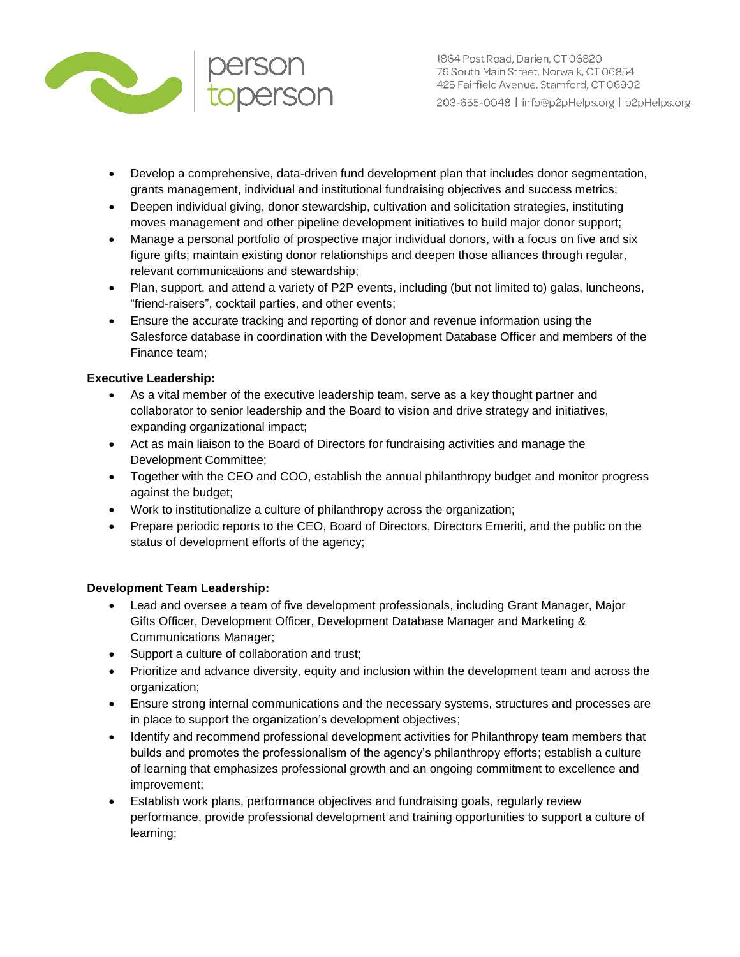

- Develop a comprehensive, data-driven fund development plan that includes donor segmentation, grants management, individual and institutional fundraising objectives and success metrics;
- Deepen individual giving, donor stewardship, cultivation and solicitation strategies, instituting moves management and other pipeline development initiatives to build major donor support;
- Manage a personal portfolio of prospective major individual donors, with a focus on five and six figure gifts; maintain existing donor relationships and deepen those alliances through regular, relevant communications and stewardship;
- Plan, support, and attend a variety of P2P events, including (but not limited to) galas, luncheons, "friend-raisers", cocktail parties, and other events;
- Ensure the accurate tracking and reporting of donor and revenue information using the Salesforce database in coordination with the Development Database Officer and members of the Finance team;

## **Executive Leadership:**

- As a vital member of the executive leadership team, serve as a key thought partner and collaborator to senior leadership and the Board to vision and drive strategy and initiatives, expanding organizational impact;
- Act as main liaison to the Board of Directors for fundraising activities and manage the Development Committee;
- Together with the CEO and COO, establish the annual philanthropy budget and monitor progress against the budget;
- Work to institutionalize a culture of philanthropy across the organization;
- Prepare periodic reports to the CEO, Board of Directors, Directors Emeriti, and the public on the status of development efforts of the agency;

## **Development Team Leadership:**

- Lead and oversee a team of five development professionals, including Grant Manager, Major Gifts Officer, Development Officer, Development Database Manager and Marketing & Communications Manager;
- Support a culture of collaboration and trust;
- Prioritize and advance diversity, equity and inclusion within the development team and across the organization;
- Ensure strong internal communications and the necessary systems, structures and processes are in place to support the organization's development objectives;
- Identify and recommend professional development activities for Philanthropy team members that builds and promotes the professionalism of the agency's philanthropy efforts; establish a culture of learning that emphasizes professional growth and an ongoing commitment to excellence and improvement;
- Establish work plans, performance objectives and fundraising goals, regularly review performance, provide professional development and training opportunities to support a culture of learning;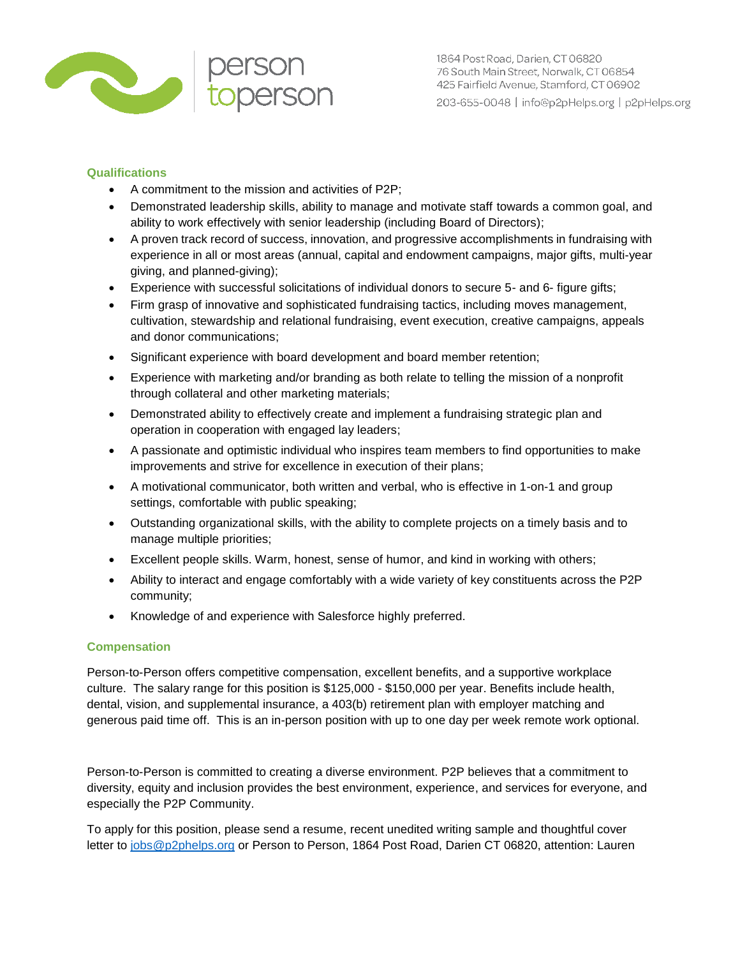

## **Qualifications**

- A commitment to the mission and activities of P2P;
- Demonstrated leadership skills, ability to manage and motivate staff towards a common goal, and ability to work effectively with senior leadership (including Board of Directors);
- A proven track record of success, innovation, and progressive accomplishments in fundraising with experience in all or most areas (annual, capital and endowment campaigns, major gifts, multi-year giving, and planned-giving);
- Experience with successful solicitations of individual donors to secure 5- and 6- figure gifts;
- Firm grasp of innovative and sophisticated fundraising tactics, including moves management, cultivation, stewardship and relational fundraising, event execution, creative campaigns, appeals and donor communications;
- Significant experience with board development and board member retention;
- Experience with marketing and/or branding as both relate to telling the mission of a nonprofit through collateral and other marketing materials;
- Demonstrated ability to effectively create and implement a fundraising strategic plan and operation in cooperation with engaged lay leaders;
- A passionate and optimistic individual who inspires team members to find opportunities to make improvements and strive for excellence in execution of their plans;
- A motivational communicator, both written and verbal, who is effective in 1-on-1 and group settings, comfortable with public speaking;
- Outstanding organizational skills, with the ability to complete projects on a timely basis and to manage multiple priorities;
- Excellent people skills. Warm, honest, sense of humor, and kind in working with others;
- Ability to interact and engage comfortably with a wide variety of key constituents across the P2P community;
- Knowledge of and experience with Salesforce highly preferred.

## **Compensation**

Person-to-Person offers competitive compensation, excellent benefits, and a supportive workplace culture. The salary range for this position is \$125,000 - \$150,000 per year. Benefits include health, dental, vision, and supplemental insurance, a 403(b) retirement plan with employer matching and generous paid time off. This is an in-person position with up to one day per week remote work optional.

Person-to-Person is committed to creating a diverse environment. P2P believes that a commitment to diversity, equity and inclusion provides the best environment, experience, and services for everyone, and especially the P2P Community.

To apply for this position, please send a resume, recent unedited writing sample and thoughtful cover letter to [jobs@p2phelps.org](mailto:jobs@p2phelps.org) or Person to Person, 1864 Post Road, Darien CT 06820, attention: Lauren